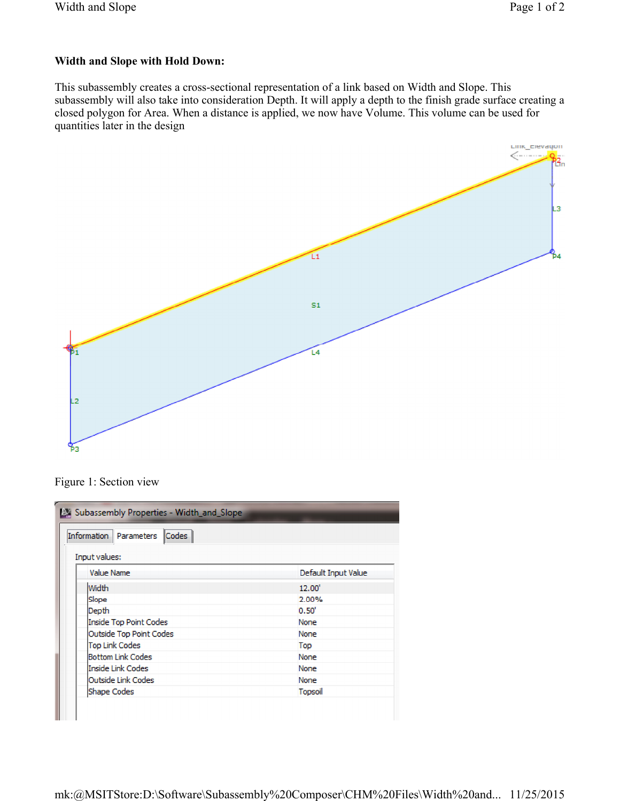## **Width and Slope with Hold Down:**

This subassembly creates a cross-sectional representation of a link based on Width and Slope. This subassembly will also take into consideration Depth. It will apply a depth to the finish grade surface creating a closed polygon for Area. When a distance is applied, we now have Volume. This volume can be used for quantities later in the design



Figure 1: Section view

| Ex Subassembly Properties - Width_and_Slope<br>Codes  <br>Information   Parameters<br>Input values: |                     |
|-----------------------------------------------------------------------------------------------------|---------------------|
| Value Name                                                                                          | Default Input Value |
| Width                                                                                               | 12.00               |
| Slope                                                                                               | 2.00%               |
| Depth                                                                                               | 0.50'               |
| Inside Top Point Codes                                                                              | None                |
| <b>Outside Top Point Codes</b>                                                                      | None                |
| <b>Top Link Codes</b>                                                                               | Top                 |
| <b>Bottom Link Codes</b>                                                                            | None                |
| Inside Link Codes                                                                                   | <b>None</b>         |
| <b>Outside Link Codes</b>                                                                           | None                |
| Shape Codes                                                                                         | Topsoil             |